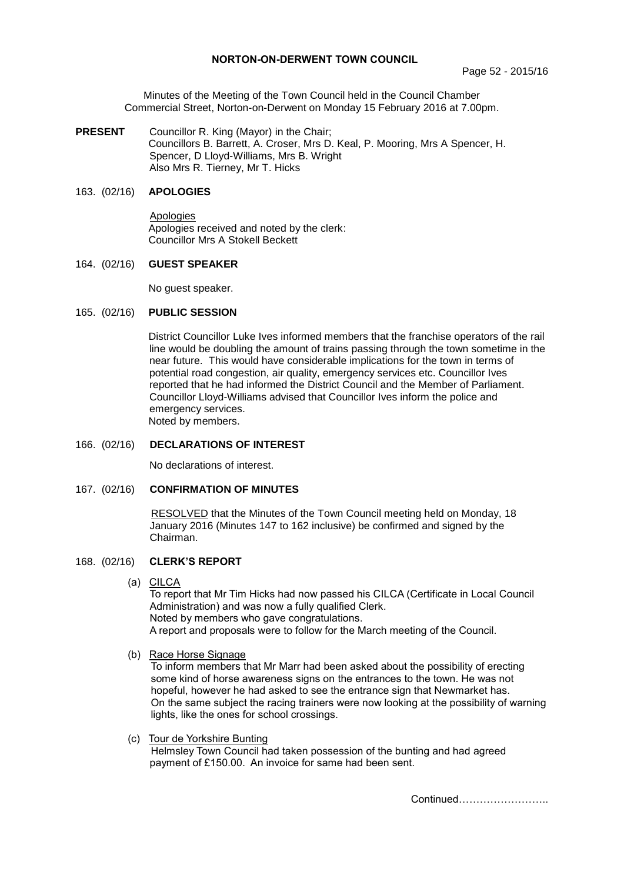## **NORTON-ON-DERWENT TOWN COUNCIL**

Minutes of the Meeting of the Town Council held in the Council Chamber Commercial Street, Norton-on-Derwent on Monday 15 February 2016 at 7.00pm.

**PRESENT** Councillor R. King (Mayor) in the Chair; Councillors B. Barrett, A. Croser, Mrs D. Keal, P. Mooring, Mrs A Spencer, H. Spencer, D Lloyd-Williams, Mrs B. Wright Also Mrs R. Tierney, Mr T. Hicks

## 163. (02/16) **APOLOGIES**

 Apologies Apologies received and noted by the clerk: Councillor Mrs A Stokell Beckett

## 164. (02/16) **GUEST SPEAKER**

No guest speaker.

## 165. (02/16) **PUBLIC SESSION**

District Councillor Luke Ives informed members that the franchise operators of the rail line would be doubling the amount of trains passing through the town sometime in the near future. This would have considerable implications for the town in terms of potential road congestion, air quality, emergency services etc. Councillor Ives reported that he had informed the District Council and the Member of Parliament. Councillor Lloyd-Williams advised that Councillor Ives inform the police and emergency services. Noted by members.

## 166. (02/16) **DECLARATIONS OF INTEREST**

No declarations of interest.

# 167. (02/16) **CONFIRMATION OF MINUTES**

 RESOLVED that the Minutes of the Town Council meeting held on Monday, 18 January 2016 (Minutes 147 to 162 inclusive) be confirmed and signed by the Chairman.

#### 168. (02/16) **CLERK'S REPORT**

(a)CILCA

To report that Mr Tim Hicks had now passed his CILCA (Certificate in Local Council Administration) and was now a fully qualified Clerk. Noted by members who gave congratulations. A report and proposals were to follow for the March meeting of the Council.

#### (b) Race Horse Signage

To inform members that Mr Marr had been asked about the possibility of erecting some kind of horse awareness signs on the entrances to the town. He was not hopeful, however he had asked to see the entrance sign that Newmarket has. On the same subject the racing trainers were now looking at the possibility of warning lights, like the ones for school crossings.

 (c) Tour de Yorkshire Bunting Helmsley Town Council had taken possession of the bunting and had agreed payment of £150.00. An invoice for same had been sent.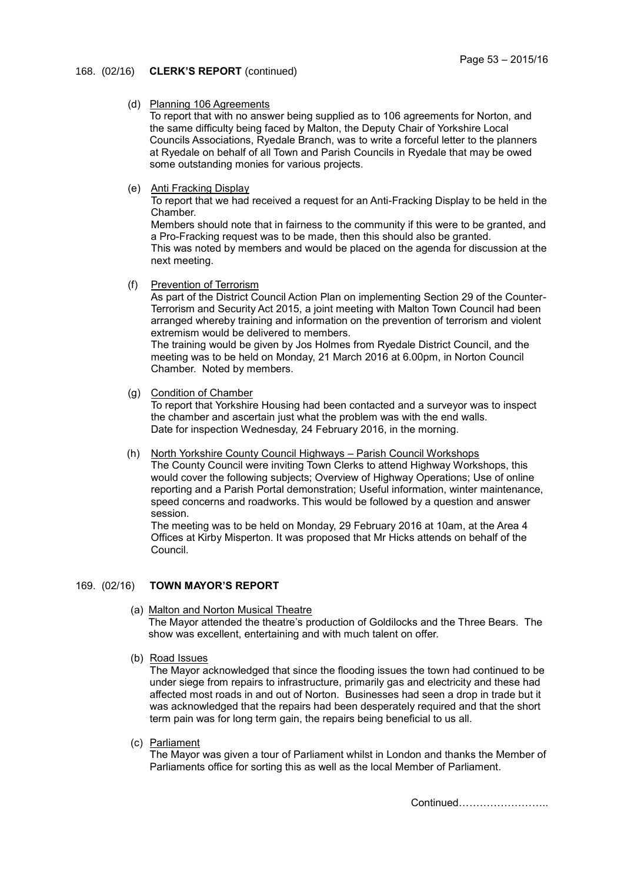## 168. (02/16) **CLERK'S REPORT** (continued)

## (d) Planning 106 Agreements

To report that with no answer being supplied as to 106 agreements for Norton, and the same difficulty being faced by Malton, the Deputy Chair of Yorkshire Local Councils Associations, Ryedale Branch, was to write a forceful letter to the planners at Ryedale on behalf of all Town and Parish Councils in Ryedale that may be owed some outstanding monies for various projects.

(e) Anti Fracking Display

To report that we had received a request for an Anti-Fracking Display to be held in the Chamber.

Members should note that in fairness to the community if this were to be granted, and a Pro-Fracking request was to be made, then this should also be granted. This was noted by members and would be placed on the agenda for discussion at the next meeting.

(f) Prevention of Terrorism

As part of the District Council Action Plan on implementing Section 29 of the Counter-Terrorism and Security Act 2015, a joint meeting with Malton Town Council had been arranged whereby training and information on the prevention of terrorism and violent extremism would be delivered to members.

The training would be given by Jos Holmes from Ryedale District Council, and the meeting was to be held on Monday, 21 March 2016 at 6.00pm, in Norton Council Chamber. Noted by members.

(g) Condition of Chamber

To report that Yorkshire Housing had been contacted and a surveyor was to inspect the chamber and ascertain just what the problem was with the end walls. Date for inspection Wednesday, 24 February 2016, in the morning.

(h) North Yorkshire County Council Highways – Parish Council Workshops

The County Council were inviting Town Clerks to attend Highway Workshops, this would cover the following subjects; Overview of Highway Operations; Use of online reporting and a Parish Portal demonstration; Useful information, winter maintenance, speed concerns and roadworks. This would be followed by a question and answer session.

The meeting was to be held on Monday, 29 February 2016 at 10am, at the Area 4 Offices at Kirby Misperton. It was proposed that Mr Hicks attends on behalf of the Council.

### 169. (02/16) **TOWN MAYOR'S REPORT**

- (a) Malton and Norton Musical Theatre The Mayor attended the theatre's production of Goldilocks and the Three Bears. The show was excellent, entertaining and with much talent on offer.
- (b) Road Issues

The Mayor acknowledged that since the flooding issues the town had continued to be under siege from repairs to infrastructure, primarily gas and electricity and these had affected most roads in and out of Norton. Businesses had seen a drop in trade but it was acknowledged that the repairs had been desperately required and that the short term pain was for long term gain, the repairs being beneficial to us all.

(c) Parliament

The Mayor was given a tour of Parliament whilst in London and thanks the Member of Parliaments office for sorting this as well as the local Member of Parliament.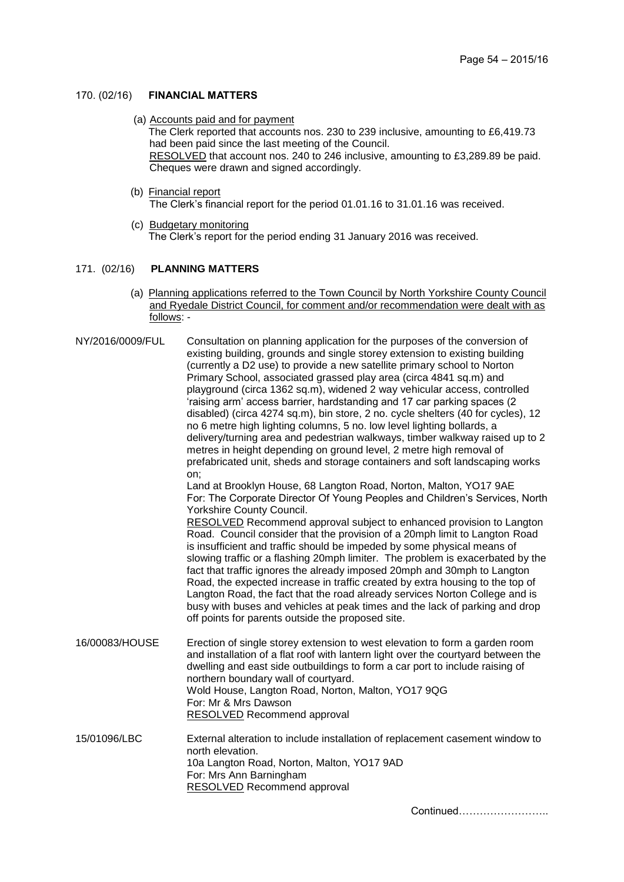## 170. (02/16) **FINANCIAL MATTERS**

(a) Accounts paid and for payment

Cheques were drawn and signed accordingly.

The Clerk reported that accounts nos. 230 to 239 inclusive, amounting to £6,419.73 had been paid since the last meeting of the Council. RESOLVED that account nos. 240 to 246 inclusive, amounting to £3,289.89 be paid.

 (b) Financial report The Clerk's financial report for the period 01.01.16 to 31.01.16 was received.

(c) Budgetary monitoring The Clerk's report for the period ending 31 January 2016 was received.

#### 171. (02/16) **PLANNING MATTERS**

(a) Planning applications referred to the Town Council by North Yorkshire County Council and Ryedale District Council, for comment and/or recommendation were dealt with as follows: -

| NY/2016/0009/FUL | Consultation on planning application for the purposes of the conversion of<br>existing building, grounds and single storey extension to existing building<br>(currently a D2 use) to provide a new satellite primary school to Norton<br>Primary School, associated grassed play area (circa 4841 sq.m) and<br>playground (circa 1362 sq.m), widened 2 way vehicular access, controlled<br>'raising arm' access barrier, hardstanding and 17 car parking spaces (2<br>disabled) (circa 4274 sq.m), bin store, 2 no. cycle shelters (40 for cycles), 12<br>no 6 metre high lighting columns, 5 no. low level lighting bollards, a<br>delivery/turning area and pedestrian walkways, timber walkway raised up to 2<br>metres in height depending on ground level, 2 metre high removal of<br>prefabricated unit, sheds and storage containers and soft landscaping works<br>on;<br>Land at Brooklyn House, 68 Langton Road, Norton, Malton, YO17 9AE<br>For: The Corporate Director Of Young Peoples and Children's Services, North<br>Yorkshire County Council. |
|------------------|----------------------------------------------------------------------------------------------------------------------------------------------------------------------------------------------------------------------------------------------------------------------------------------------------------------------------------------------------------------------------------------------------------------------------------------------------------------------------------------------------------------------------------------------------------------------------------------------------------------------------------------------------------------------------------------------------------------------------------------------------------------------------------------------------------------------------------------------------------------------------------------------------------------------------------------------------------------------------------------------------------------------------------------------------------------|
|                  | <b>RESOLVED</b> Recommend approval subject to enhanced provision to Langton<br>Road. Council consider that the provision of a 20mph limit to Langton Road<br>is insufficient and traffic should be impeded by some physical means of<br>slowing traffic or a flashing 20mph limiter. The problem is exacerbated by the<br>fact that traffic ignores the already imposed 20mph and 30mph to Langton<br>Road, the expected increase in traffic created by extra housing to the top of<br>Langton Road, the fact that the road already services Norton College and is<br>busy with buses and vehicles at peak times and the lack of parking and drop<br>off points for parents outside the proposed site.                                                                                                                                                                                                                                                                                                                                                         |
| 16/00083/HOUSE   | Erection of single storey extension to west elevation to form a garden room<br>and installation of a flat roof with lantern light over the courtyard between the<br>dwelling and east side outbuildings to form a car port to include raising of<br>northern boundary wall of courtyard.<br>Wold House, Langton Road, Norton, Malton, YO17 9QG<br>For: Mr & Mrs Dawson<br><b>RESOLVED</b> Recommend approval                                                                                                                                                                                                                                                                                                                                                                                                                                                                                                                                                                                                                                                   |
| 15/01096/LBC     | External alteration to include installation of replacement casement window to<br>north elevation.<br>10a Langton Road, Norton, Malton, YO17 9AD<br>For: Mrs Ann Barningham<br><b>RESOLVED</b> Recommend approval                                                                                                                                                                                                                                                                                                                                                                                                                                                                                                                                                                                                                                                                                                                                                                                                                                               |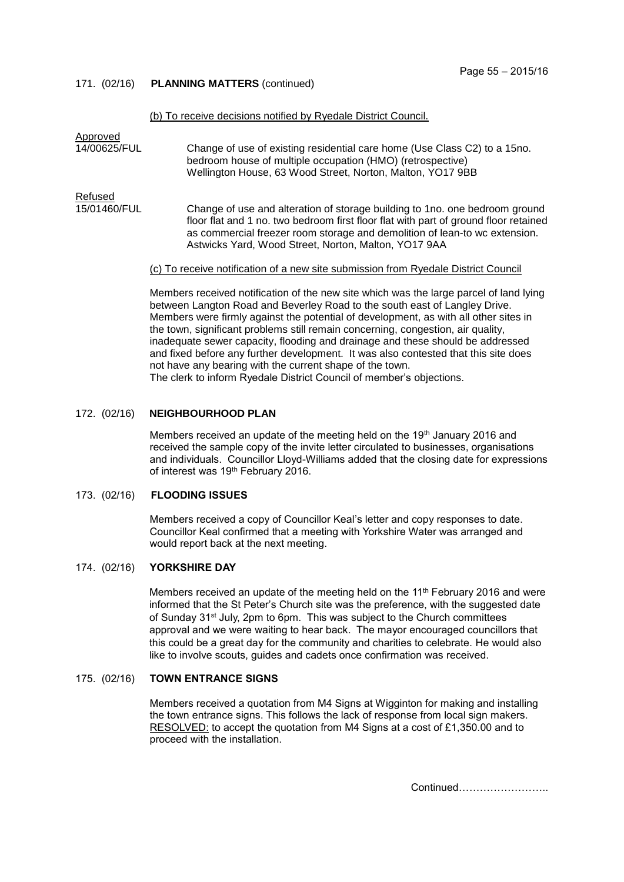171. (02/16) **PLANNING MATTERS** (continued)

#### (b) To receive decisions notified by Ryedale District Council.

| Approved     |                                                                                                                                                                                                                                                                                                                                                                                                                                   |
|--------------|-----------------------------------------------------------------------------------------------------------------------------------------------------------------------------------------------------------------------------------------------------------------------------------------------------------------------------------------------------------------------------------------------------------------------------------|
| 14/00625/FUL | Change of use of existing residential care home (Use Class C2) to a 15no.<br>bedroom house of multiple occupation (HMO) (retrospective)<br>Wellington House, 63 Wood Street, Norton, Malton, YO17 9BB                                                                                                                                                                                                                             |
| Refused      |                                                                                                                                                                                                                                                                                                                                                                                                                                   |
| 15/01460/FUL | Change of use and alteration of storage building to 1no. one bedroom ground<br>floor flat and 1 no. two bedroom first floor flat with part of ground floor retained<br>as commercial freezer room storage and demolition of lean-to wc extension.<br>Astwicks Yard, Wood Street, Norton, Malton, YO17 9AA                                                                                                                         |
|              | (c) To receive notification of a new site submission from Ryedale District Council                                                                                                                                                                                                                                                                                                                                                |
|              | Members received notification of the new site which was the large parcel of land lying<br>between Langton Road and Beverley Road to the south east of Langley Drive.<br>Members were firmly against the potential of development, as with all other sites in<br>the town, significant problems still remain concerning, congestion, air quality,<br>inadequate sewer capacity flooding and drainage and these should be addressed |

inadequate sewer capacity, flooding and drainage and these should be addres and fixed before any further development. It was also contested that this site does not have any bearing with the current shape of the town.

The clerk to inform Ryedale District Council of member's objections.

#### 172. (02/16) **NEIGHBOURHOOD PLAN**

Members received an update of the meeting held on the 19<sup>th</sup> January 2016 and received the sample copy of the invite letter circulated to businesses, organisations and individuals. Councillor Lloyd-Williams added that the closing date for expressions of interest was 19<sup>th</sup> February 2016.

#### 173. (02/16) **FLOODING ISSUES**

Members received a copy of Councillor Keal's letter and copy responses to date. Councillor Keal confirmed that a meeting with Yorkshire Water was arranged and would report back at the next meeting.

#### 174. (02/16) **YORKSHIRE DAY**

Members received an update of the meeting held on the 11<sup>th</sup> February 2016 and were informed that the St Peter's Church site was the preference, with the suggested date of Sunday 31<sup>st</sup> July, 2pm to 6pm. This was subject to the Church committees approval and we were waiting to hear back. The mayor encouraged councillors that this could be a great day for the community and charities to celebrate. He would also like to involve scouts, guides and cadets once confirmation was received.

## 175. (02/16) **TOWN ENTRANCE SIGNS**

Members received a quotation from M4 Signs at Wigginton for making and installing the town entrance signs. This follows the lack of response from local sign makers. RESOLVED: to accept the quotation from M4 Signs at a cost of £1,350.00 and to proceed with the installation.